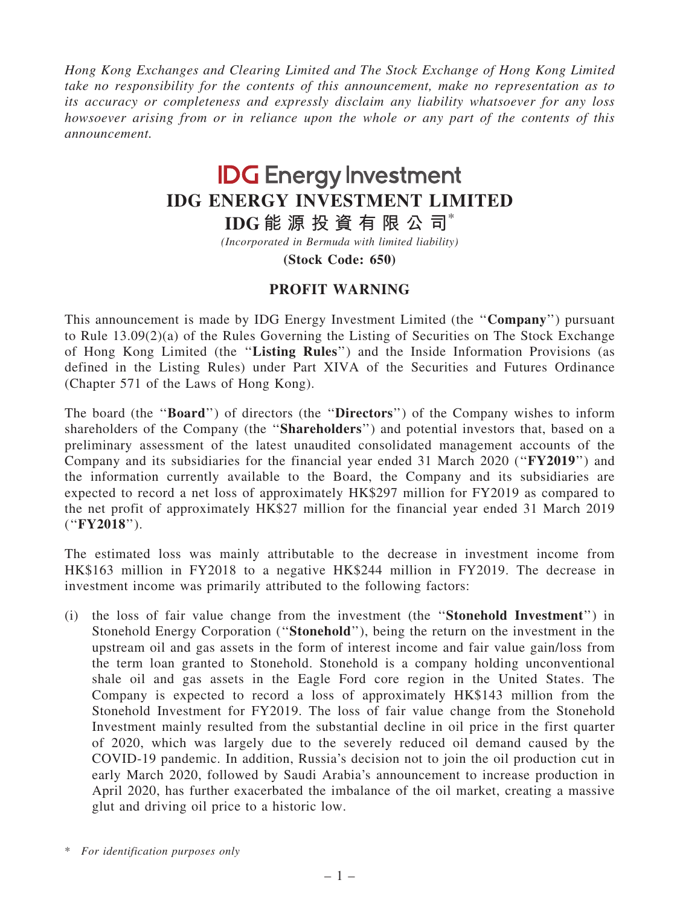Hong Kong Exchanges and Clearing Limited and The Stock Exchange of Hong Kong Limited take no responsibility for the contents of this announcement, make no representation as to its accuracy or completeness and expressly disclaim any liability whatsoever for any loss howsoever arising from or in reliance upon the whole or any part of the contents of this announcement.

## **IDG** Energy Investment IDG ENERGY INVESTMENT LIMITED

IDG 能 源 投 資 有 限 公 司 $^*$ 

(Incorporated in Bermuda with limited liability)

(Stock Code: 650)

## PROFIT WARNING

This announcement is made by IDG Energy Investment Limited (the ''Company'') pursuant to Rule 13.09(2)(a) of the Rules Governing the Listing of Securities on The Stock Exchange of Hong Kong Limited (the ''Listing Rules'') and the Inside Information Provisions (as defined in the Listing Rules) under Part XIVA of the Securities and Futures Ordinance (Chapter 571 of the Laws of Hong Kong).

The board (the "**Board**") of directors (the "**Directors**") of the Company wishes to inform shareholders of the Company (the "Shareholders") and potential investors that, based on a preliminary assessment of the latest unaudited consolidated management accounts of the Company and its subsidiaries for the financial year ended 31 March 2020 (''FY2019'') and the information currently available to the Board, the Company and its subsidiaries are expected to record a net loss of approximately HK\$297 million for FY2019 as compared to the net profit of approximately HK\$27 million for the financial year ended 31 March 2019 (''FY2018'').

The estimated loss was mainly attributable to the decrease in investment income from HK\$163 million in FY2018 to a negative HK\$244 million in FY2019. The decrease in investment income was primarily attributed to the following factors:

(i) the loss of fair value change from the investment (the ''Stonehold Investment'') in Stonehold Energy Corporation (''Stonehold''), being the return on the investment in the upstream oil and gas assets in the form of interest income and fair value gain/loss from the term loan granted to Stonehold. Stonehold is a company holding unconventional shale oil and gas assets in the Eagle Ford core region in the United States. The Company is expected to record a loss of approximately HK\$143 million from the Stonehold Investment for FY2019. The loss of fair value change from the Stonehold Investment mainly resulted from the substantial decline in oil price in the first quarter of 2020, which was largely due to the severely reduced oil demand caused by the COVID-19 pandemic. In addition, Russia's decision not to join the oil production cut in early March 2020, followed by Saudi Arabia's announcement to increase production in April 2020, has further exacerbated the imbalance of the oil market, creating a massive glut and driving oil price to a historic low.

<sup>\*</sup> For identification purposes only